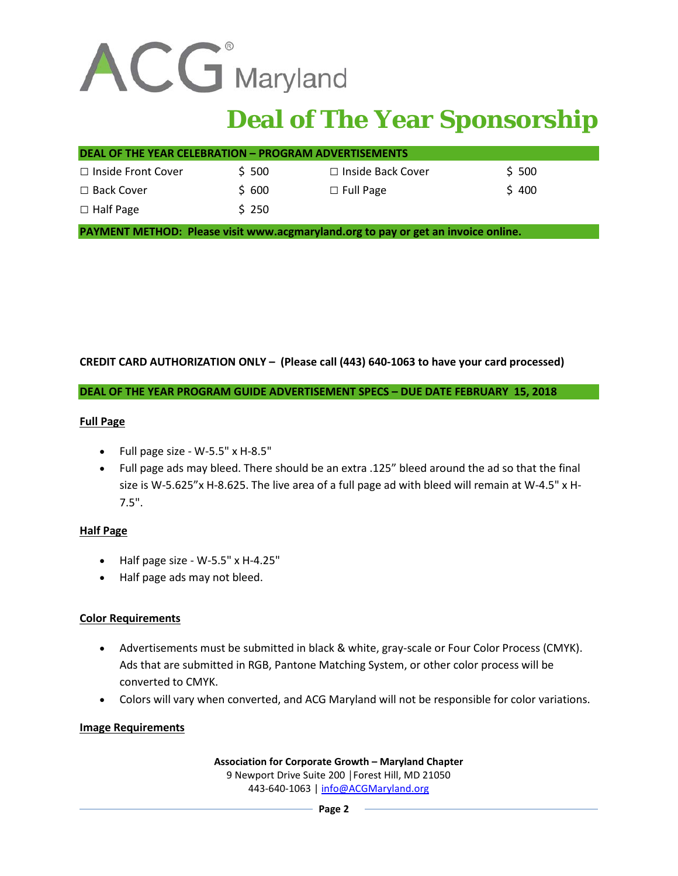

# **Deal of The Year Sponsorship**

| <b>DEAL OF THE YEAR CELEBRATION - PROGRAM ADVERTISEMENTS</b> |        |                     |       |
|--------------------------------------------------------------|--------|---------------------|-------|
| $\Box$ Inside Front Cover                                    | \$ 500 | □ Inside Back Cover | \$500 |
| $\Box$ Back Cover                                            | \$ 600 | $\Box$ Full Page    | \$400 |
| $\Box$ Half Page                                             | \$250  |                     |       |

**PAYMENT METHOD: Please visit www.acgmaryland.org to pay or get an invoice online.** 

## **CREDIT CARD AUTHORIZATION ONLY – (Please call (443) 640-1063 to have your card processed)**

#### **DEAL OF THE YEAR PROGRAM GUIDE ADVERTISEMENT SPECS – DUE DATE FEBRUARY 15, 2018**

#### **Full Page**

- Full page size W-5.5" x H-8.5"
- Full page ads may bleed. There should be an extra .125" bleed around the ad so that the final size is W-5.625"x H-8.625. The live area of a full page ad with bleed will remain at W‐4.5" x H‐ 7.5".

#### **Half Page**

- Half page size W-5.5" x H-4.25"
- Half page ads may not bleed.

## **Color Requirements**

- Advertisements must be submitted in black & white, gray-scale or Four Color Process (CMYK). Ads that are submitted in RGB, Pantone Matching System, or other color process will be converted to CMYK.
- Colors will vary when converted, and ACG Maryland will not be responsible for color variations.

#### **Image Requirements**

**Association for Corporate Growth – Maryland Chapter** 9 Newport Drive Suite 200 | Forest Hill, MD 21050 443-640-1063 [| info@ACGMaryland.org](mailto:info@ACGMaryland.org)